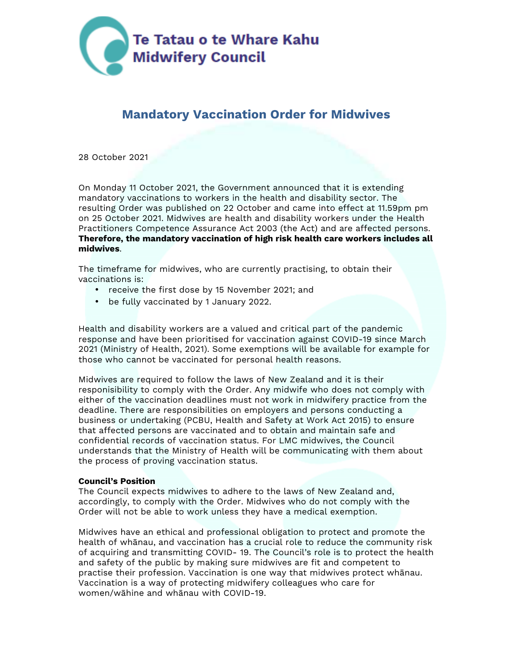

# **Mandatory Vaccination Order for Midwives**

28 October 2021

On Monday 11 October 2021, the Government announced that it is extending mandatory vaccinations to workers in the health and disability sector. The resulting Order was published on 22 October and came into effect at 11.59pm pm on 25 October 2021. Midwives are health and disability workers under the Health Practitioners Competence Assurance Act 2003 (the Act) and are affected persons. **Therefore, the mandatory vaccination of high risk health care workers includes all midwives**.

The timeframe for midwives, who are currently practising, to obtain their vaccinations is:

- receive the first dose by 15 November 2021; and
- be fully vaccinated by 1 January 2022.

Health and disability workers are a valued and critical part of the pandemic response and have been prioritised for vaccination against COVID-19 since March 2021 (Ministry of Health, 2021). Some exemptions will be available for example for those who cannot be vaccinated for personal health reasons.

Midwives are required to follow the laws of New Zealand and it is their responisibility to comply with the Order. Any midwife who does not comply with either of the vaccination deadlines must not work in midwifery practice from the deadline. There are responsibilities on employers and persons conducting a business or undertaking (PCBU, Health and Safety at Work Act 2015) to ensure that affected persons are vaccinated and to obtain and maintain safe and confidential records of vaccination status. For LMC midwives, the Council understands that the Ministry of Health will be communicating with them about the process of proving vaccination status.

#### **Council's Position**

The Council expects midwives to adhere to the laws of New Zealand and, accordingly, to comply with the Order. Midwives who do not comply with the Order will not be able to work unless they have a medical exemption.

Midwives have an ethical and professional obligation to protect and promote the health of whānau, and vaccination has a crucial role to reduce the community risk of acquiring and transmitting COVID- 19. The Council's role is to protect the health and safety of the public by making sure midwives are fit and competent to practise their profession. Vaccination is one way that midwives protect whānau. Vaccination is a way of protecting midwifery colleagues who care for women/wāhine and whānau with COVID-19.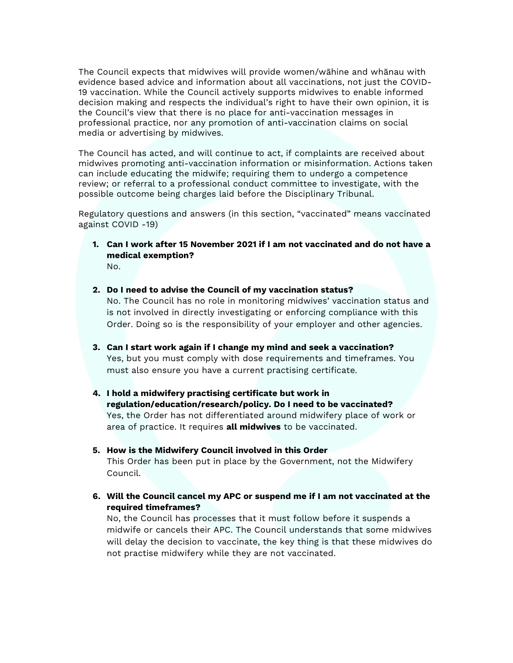The Council expects that midwives will provide women/wāhine and whānau with evidence based advice and information about all vaccinations, not just the COVID-19 vaccination. While the Council actively supports midwives to enable informed decision making and respects the individual's right to have their own opinion, it is the Council's view that there is no place for anti-vaccination messages in professional practice, nor any promotion of anti-vaccination claims on social media or advertising by midwives.

The Council has acted, and will continue to act, if complaints are received about midwives promoting anti-vaccination information or misinformation. Actions taken can include educating the midwife; requiring them to undergo a competence review; or referral to a professional conduct committee to investigate, with the possible outcome being charges laid before the Disciplinary Tribunal.

Regulatory questions and answers (in this section, "vaccinated" means vaccinated against COVID -19)

- **1. Can I work after 15 November 2021 if I am not vaccinated and do not have a medical exemption?**   $N<sub>0</sub>$
- **2. Do I need to advise the Council of my vaccination status?**  No. The Council has no role in monitoring midwives' vaccination status and is not involved in directly investigating or enforcing compliance with this Order. Doing so is the responsibility of your employer and other agencies.
- **3. Can I start work again if I change my mind and seek a vaccination?**  Yes, but you must comply with dose requirements and timeframes. You must also ensure you have a current practising certificate.
- **4. I hold a midwifery practising certificate but work in regulation/education/research/policy. Do I need to be vaccinated?**  Yes, the Order has not differentiated around midwifery place of work or area of practice. It requires **all midwives** to be vaccinated.
- **5. How is the Midwifery Council involved in this Order** This Order has been put in place by the Government, not the Midwifery Council.
- **6. Will the Council cancel my APC or suspend me if I am not vaccinated at the required timeframes?**

No, the Council has processes that it must follow before it suspends a midwife or cancels their APC. The Council understands that some midwives will delay the decision to vaccinate, the key thing is that these midwives do not practise midwifery while they are not vaccinated.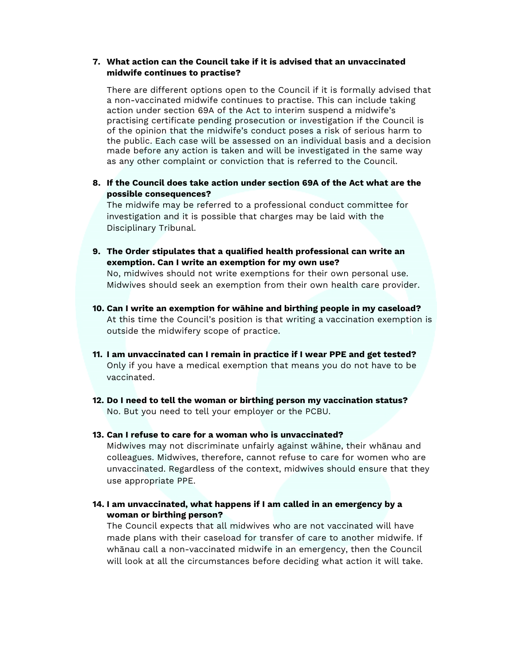## **7. What action can the Council take if it is advised that an unvaccinated midwife continues to practise?**

There are different options open to the Council if it is formally advised that a non-vaccinated midwife continues to practise. This can include taking action under section 69A of the Act to interim suspend a midwife's practising certificate pending prosecution or investigation if the Council is of the opinion that the midwife's conduct poses a risk of serious harm to the public. Each case will be assessed on an individual basis and a decision made before any action is taken and will be investigated in the same way as any other complaint or conviction that is referred to the Council.

**8. If the Council does take action under section 69A of the Act what are the possible consequences?** 

The midwife may be referred to a professional conduct committee for investigation and it is possible that charges may be laid with the Disciplinary Tribunal.

**9. The Order stipulates that a qualified health professional can write an exemption. Can I write an exemption for my own use?**

No, midwives should not write exemptions for their own personal use. Midwives should seek an exemption from their own health care provider.

- **10. Can I write an exemption for wāhine and birthing people in my caseload?**  At this time the Council's position is that writing a vaccination exemption is outside the midwifery scope of practice.
- **11. I am unvaccinated can I remain in practice if I wear PPE and get tested?**  Only if you have a medical exemption that means you do not have to be vaccinated.
- **12. Do I need to tell the woman or birthing person my vaccination status?**  No. But you need to tell your employer or the PCBU.

### **13. Can I refuse to care for a woman who is unvaccinated?**

Midwives may not discriminate unfairly against wāhine, their whānau and colleagues. Midwives, therefore, cannot refuse to care for women who are unvaccinated. Regardless of the context, midwives should ensure that they use appropriate PPE.

**14. I am unvaccinated, what happens if I am called in an emergency by a woman or birthing person?** 

The Council expects that all midwives who are not vaccinated will have made plans with their caseload for transfer of care to another midwife. If whānau call a non-vaccinated midwife in an emergency, then the Council will look at all the circumstances before deciding what action it will take.